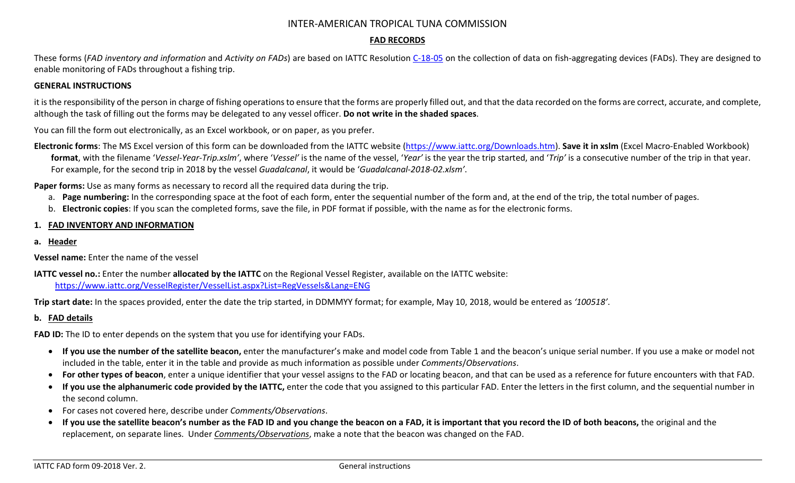# **FAD RECORDS**

These forms (*FAD inventory and information* and *Activity on FADs*) are based on IATTC Resolution [C-18-05](https://www.iattc.org/PDFFiles/Resolutions/IATTC/_English/C-18-05-Active_Amends%20and%20replaces%20C-16-01%20FADs.pdf) on the collection of data on fish-aggregating devices (FADs). They are designed to enable monitoring of FADs throughout a fishing trip.

### **GENERAL INSTRUCTIONS**

it is the responsibility of the person in charge of fishing operations to ensure that the forms are properly filled out, and that the data recorded on the forms are correct, accurate, and complete, although the task of filling out the forms may be delegated to any vessel officer. **Do not write in the shaded spaces**.

You can fill the form out electronically, as an Excel workbook, or on paper, as you prefer.

**Electronic forms**: The MS Excel version of this form can be downloaded from the IATTC website [\(https://www.iattc.org/Downloads.htm\)](https://www.iattc.org/Downloads.htm). **Save it in xslm** (Excel Macro-Enabled Workbook) format, with the filename 'Vessel-Year-Trip.xslm', where 'Vessel' is the name of the vessel, 'Year' is the year the trip started, and 'Trip' is a consecutive number of the trip in that year. For example, for the second trip in 2018 by the vessel *Guadalcanal*, it would be '*Guadalcanal-2018-02.xlsm'*.

**Paper forms:** Use as many forms as necessary to record all the required data during the trip.

- a. **Page numbering:** In the corresponding space at the foot of each form, enter the sequential number of the form and, at the end of the trip, the total number of pages.
- b. **Electronic copies**: If you scan the completed forms, save the file, in PDF format if possible, with the name as for the electronic forms.

# **1. FAD INVENTORY AND INFORMATION**

**a. Header** 

**Vessel name:** Enter the name of the vessel

**IATTC vessel no.:** Enter the number **allocated by the IATTC** on the Regional Vessel Register, available on the IATTC website:

<https://www.iattc.org/VesselRegister/VesselList.aspx?List=RegVessels&Lang=ENG>

**Trip start date:** In the spaces provided, enter the date the trip started, in DDMMYY format; for example, May 10, 2018, would be entered as *'100518'*.

#### **b. FAD details**

**FAD ID:** The ID to enter depends on the system that you use for identifying your FADs.

- **If you use the number of the satellite beacon,** enter the manufacturer's make and model code from Table 1 and the beacon's unique serial number. If you use a make or model not included in the table, enter it in the table and provide as much information as possible under *Comments*/*Observations*.
- **For other types of beacon**, enter a unique identifier that your vessel assigns to the FAD or locating beacon, and that can be used as a reference for future encounters with that FAD.
- **If you use the alphanumeric code provided by the IATTC,** enter the code that you assigned to this particular FAD. Enter the letters in the first column, and the sequential number in the second column.
- For cases not covered here, describe under *Comments/Observations*.
- **If you use the satellite beacon's number as the FAD ID and you change the beacon on a FAD, it is important that you record the ID of both beacons,** the original and the replacement, on separate lines. Under *Comments/Observations*, make a note that the beacon was changed on the FAD.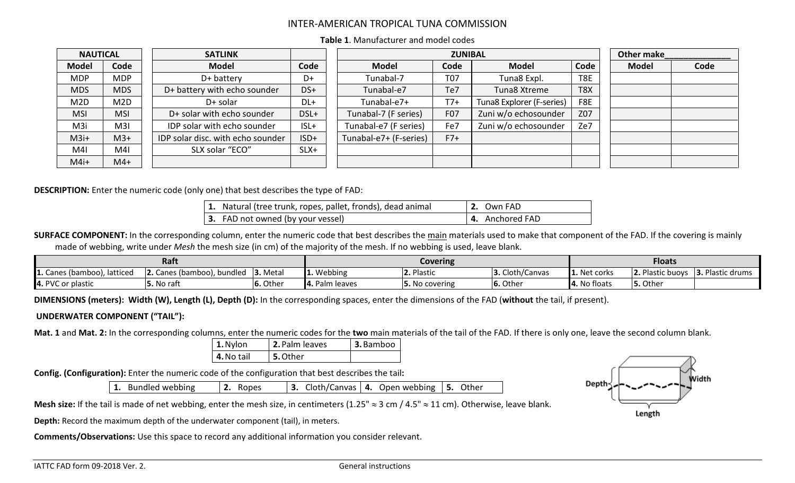**Table 1**. Manufacturer and model codes

| <b>NAUTICAL</b>  |                  | <b>SATLINK</b>                    |        |                        | <b>Other make</b> |                           |      |              |      |
|------------------|------------------|-----------------------------------|--------|------------------------|-------------------|---------------------------|------|--------------|------|
| <b>Model</b>     | Code             | <b>Model</b>                      | Code   | <b>Model</b>           | Code              | <b>Model</b>              | Code | <b>Model</b> | Code |
| <b>MDP</b>       | <b>MDP</b>       | D+ battery                        | D+     | Tunabal-7              | T07               | Tuna8 Expl.               | T8E  |              |      |
| <b>MDS</b>       | <b>MDS</b>       | D+ battery with echo sounder      | DS+    | Tunabal-e7             | Te7               | Tuna8 Xtreme              | T8X  |              |      |
| M <sub>2</sub> D | M <sub>2</sub> D | $D+$ solar                        | $DL+$  | Tunabal-e7+            | $T7+$             | Tuna8 Explorer (F-series) | F8E  |              |      |
| <b>MSI</b>       | <b>MSI</b>       | D+ solar with echo sounder        | DSL+   | Tunabal-7 (F series)   | F07               | Zuni w/o echosounder      | Z07  |              |      |
| M3i              | M <sub>3</sub>   | IDP solar with echo sounder       | $ISL+$ | Tunabal-e7 (F series)  | Fe7               | Zuni w/o echosounder      | Ze7  |              |      |
| $M3i+$           | $M3+$            | IDP solar disc. with echo sounder | $ISD+$ | Tunabal-e7+ (F-series) | $F7+$             |                           |      |              |      |
| M4I              | M4I              | SLX solar "ECO"                   | $SLX+$ |                        |                   |                           |      |              |      |
| M4i+             | $M4+$            |                                   |        |                        |                   |                           |      |              |      |

**DESCRIPTION:** Enter the numeric code (only one) that best describes the type of FAD:

| 1. Natural (tree trunk, ropes, pallet, fronds), dead animal | $\vert$ 2. Own FAD |
|-------------------------------------------------------------|--------------------|
| 3. FAD not owned (by your vessel)                           | 4. Anchored FAD    |

**SURFACE COMPONENT:** In the corresponding column, enter the numeric code that best describes the main materials used to make that component of the FAD. If the covering is mainly made of webbing, write under *Mesh* the mesh size (in cm) of the majority of the mesh. If no webbing is used, leave blank.

|                             | Raft                                               |            |                   | <b>Covering</b>       | <b>Floats</b>        |                         |                  |  |  |  |
|-----------------------------|----------------------------------------------------|------------|-------------------|-----------------------|----------------------|-------------------------|------------------|--|--|--|
| 1. Canes (bamboo), latticed | bundled<br>$3.$ Metal<br><b>2.</b> Canes (bamboo), | 1. Webbing | <b>N. Plastic</b> | 3. Cloth/Canvas       | <b>11.</b> Net corks | <b>2.</b> Plastic buoys | 3. Plastic drums |  |  |  |
| 4. PVC or plastic           | <b>5.</b> No raft                                  | 6. Other   | 4. Palm leaves    | <b>5.</b> No covering | $ 6.$ Other          | 4. No floats            | 5. Other         |  |  |  |

**DIMENSIONS (meters): Width (W), Length (L), Depth (D):** In the corresponding spaces, enter the dimensions of the FAD (**without** the tail, if present).

# **UNDERWATER COMPONENT ("TAIL"):**

**Mat. 1** and **Mat. 2:** In the corresponding columns, enter the numeric codes for the **two** main materials of the tail of the FAD. If there is only one, leave the second column blank.

| 1. Nylon   | 2. Palm leaves | 3. Bamboo |
|------------|----------------|-----------|
| 4. No tail | 5. Other       |           |

**Config. (Configuration):** Enter the numeric code of the configuration that best describes the tail**:** 

|  | 1. Bundled webbing | $2.$ Ropes |  |  |  | <b>3.</b> Cloth/Canvas <b>4.</b> Open webbing <b>5.</b> Other |  |  |  |
|--|--------------------|------------|--|--|--|---------------------------------------------------------------|--|--|--|
|--|--------------------|------------|--|--|--|---------------------------------------------------------------|--|--|--|

**Mesh size:** If the tail is made of net webbing, enter the mesh size, in centimeters (1.25" ≈ 3 cm / 4.5" ≈ 11 cm). Otherwise, leave blank.

**Depth:** Record the maximum depth of the underwater component (tail), in meters.

**Comments/Observations:** Use this space to record any additional information you consider relevant.

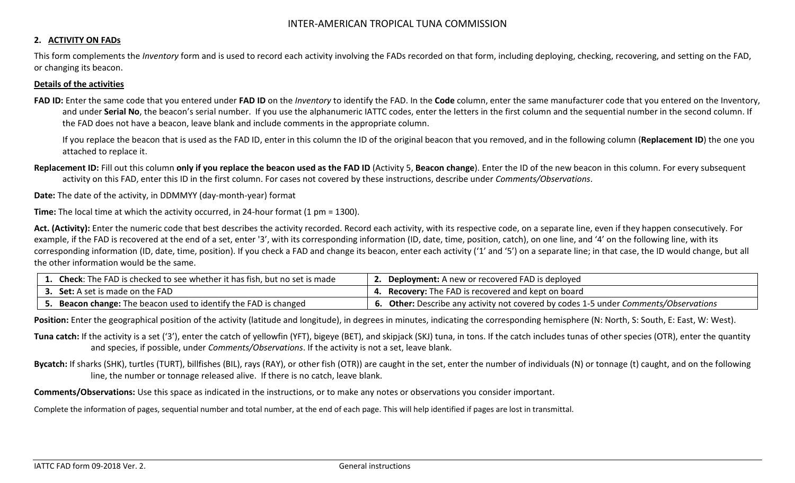## **2. ACTIVITY ON FADs**

This form complements the *Inventory* form and is used to record each activity involving the FADs recorded on that form, including deploying, checking, recovering, and setting on the FAD, or changing its beacon.

#### **Details of the activities**

**FAD ID:** Enter the same code that you entered under **FAD ID** on the *Inventory* to identify the FAD. In the **Code** column, enter the same manufacturer code that you entered on the Inventory, and under Serial No, the beacon's serial number. If you use the alphanumeric IATTC codes, enter the letters in the first column and the sequential number in the second column. If the FAD does not have a beacon, leave blank and include comments in the appropriate column.

If you replace the beacon that is used as the FAD ID, enter in this column the ID of the original beacon that you removed, and in the following column (**Replacement ID**) the one you attached to replace it.

**Replacement ID:** Fill out this column **only if you replace the beacon used as the FAD ID** (Activity 5, **Beacon change**). Enter the ID of the new beacon in this column. For every subsequent activity on this FAD, enter this ID in the first column. For cases not covered by these instructions, describe under *Comments/Observations*.

**Date:** The date of the activity, in DDMMYY (day-month-year) format

**Time:** The local time at which the activity occurred, in 24-hour format (1 pm = 1300).

Act. (Activity): Enter the numeric code that best describes the activity recorded. Record each activity, with its respective code, on a separate line, even if they happen consecutively. For example, if the FAD is recovered at the end of a set, enter '3', with its corresponding information (ID, date, time, position, catch), on one line, and '4' on the following line, with its corresponding information (ID, date, time, position). If you check a FAD and change its beacon, enter each activity ('1' and '5') on a separate line; in that case, the ID would change, but all the other information would be the same.

| . Check: The FAD is checked to see whether it has fish, but no set is made | <b>Deployment:</b> A new or recovered FAD is deployed                                           |
|----------------------------------------------------------------------------|-------------------------------------------------------------------------------------------------|
| <b>3. Set:</b> A set is made on the FAD                                    | <b>Recovery:</b> The FAD is recovered and kept on board                                         |
| ` Beacon change: The beacon used to identify the FAD is changed            | <b>Other:</b> Describe any activity not covered by codes 1-5 under <i>Comments/Observations</i> |

Position: Enter the geographical position of the activity (latitude and longitude), in degrees in minutes, indicating the corresponding hemisphere (N: North, S: South, E: East, W: West).

Tuna catch: If the activity is a set ('3'), enter the catch of yellowfin (YFT), bigeye (BET), and skipjack (SKJ) tuna, in tons. If the catch includes tunas of other species (OTR), enter the quantity and species, if possible, under *Comments/Observations*. If the activity is not a set, leave blank.

**Bycatch:** If sharks (SHK), turtles (TURT), billfishes (BIL), rays (RAY), or other fish (OTR)) are caught in the set, enter the number of individuals (N) or tonnage (t) caught, and on the following line, the number or tonnage released alive. If there is no catch, leave blank.

**Comments/Observations:** Use this space as indicated in the instructions, or to make any notes or observations you consider important.

Complete the information of pages, sequential number and total number, at the end of each page. This will help identified if pages are lost in transmittal.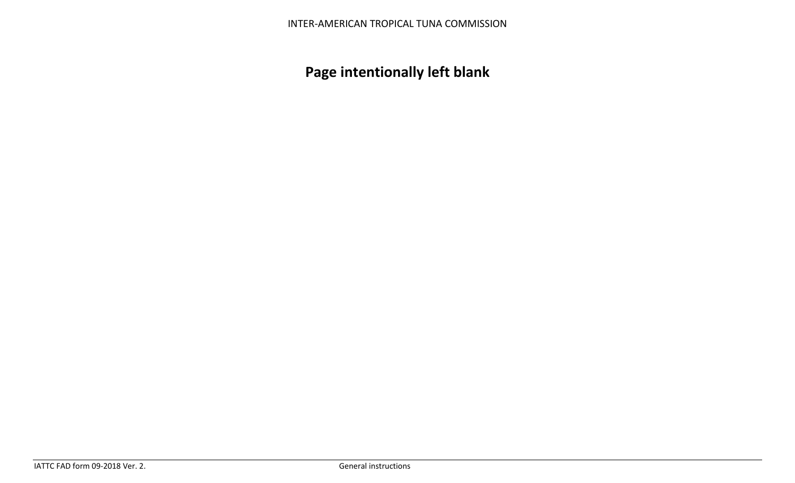**Page intentionally left blank**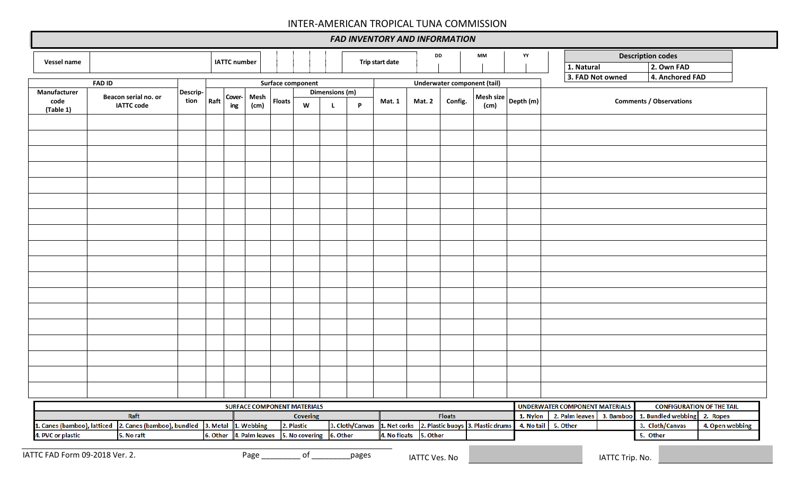### *FAD INVENTORY AND INFORMATION*

| Vessel name                               |                                           |                  |      | <b>IATTC</b> number |                         |               |                                    |                                |        | Trip start date              | DD            |         | MM                                | YY                                                            | 1. Natural                            | 3. FAD Not owned | <b>Description codes</b><br>2. Own FAD<br>4. Anchored FAD                                |                 |  |
|-------------------------------------------|-------------------------------------------|------------------|------|---------------------|-------------------------|---------------|------------------------------------|--------------------------------|--------|------------------------------|---------------|---------|-----------------------------------|---------------------------------------------------------------|---------------------------------------|------------------|------------------------------------------------------------------------------------------|-----------------|--|
| <b>FAD ID</b><br><b>Surface component</b> |                                           |                  |      |                     |                         |               |                                    |                                |        |                              |               |         | Underwater component (tail)       |                                                               |                                       |                  |                                                                                          |                 |  |
| Manufacturer<br>code<br>(Table 1)         | Beacon serial no. or<br><b>IATTC</b> code | Descrip-<br>tion | Raft | Cover-<br>ing       | Mesh<br>(cm)            | <b>Floats</b> | W                                  | Dimensions (m)<br>$\mathbf{L}$ | P.     | Mat. 1                       | Mat. 2        | Config. | (cm)                              | $\Big \,\textsf{Mesh~size}\,\Big \,\textsf{Depth~(m)}\,\Big $ |                                       |                  | <b>Comments / Observations</b>                                                           |                 |  |
|                                           |                                           |                  |      |                     |                         |               |                                    |                                |        |                              |               |         |                                   |                                                               |                                       |                  |                                                                                          |                 |  |
|                                           |                                           |                  |      |                     |                         |               |                                    |                                |        |                              |               |         |                                   |                                                               |                                       |                  |                                                                                          |                 |  |
|                                           |                                           |                  |      |                     |                         |               |                                    |                                |        |                              |               |         |                                   |                                                               |                                       |                  |                                                                                          |                 |  |
|                                           |                                           |                  |      |                     |                         |               |                                    |                                |        |                              |               |         |                                   |                                                               |                                       |                  |                                                                                          |                 |  |
|                                           |                                           |                  |      |                     |                         |               |                                    |                                |        |                              |               |         |                                   |                                                               |                                       |                  |                                                                                          |                 |  |
|                                           |                                           |                  |      |                     |                         |               |                                    |                                |        |                              |               |         |                                   |                                                               |                                       |                  |                                                                                          |                 |  |
|                                           |                                           |                  |      |                     |                         |               |                                    |                                |        |                              |               |         |                                   |                                                               |                                       |                  |                                                                                          |                 |  |
|                                           |                                           |                  |      |                     |                         |               |                                    |                                |        |                              |               |         |                                   |                                                               |                                       |                  |                                                                                          |                 |  |
|                                           |                                           |                  |      |                     |                         |               |                                    |                                |        |                              |               |         |                                   |                                                               |                                       |                  |                                                                                          |                 |  |
|                                           |                                           |                  |      |                     |                         |               |                                    |                                |        |                              |               |         |                                   |                                                               |                                       |                  |                                                                                          |                 |  |
|                                           |                                           |                  |      |                     |                         |               |                                    |                                |        |                              |               |         |                                   |                                                               |                                       |                  |                                                                                          |                 |  |
|                                           |                                           |                  |      |                     |                         |               |                                    |                                |        |                              |               |         |                                   |                                                               |                                       |                  |                                                                                          |                 |  |
|                                           |                                           |                  |      |                     |                         |               |                                    |                                |        |                              |               |         |                                   |                                                               |                                       |                  |                                                                                          |                 |  |
|                                           |                                           |                  |      |                     |                         |               |                                    |                                |        |                              |               |         |                                   |                                                               |                                       |                  |                                                                                          |                 |  |
|                                           |                                           |                  |      |                     |                         |               | <b>SURFACE COMPONENT MATERIALS</b> |                                |        |                              |               |         |                                   |                                                               | <b>UNDERWATER COMPONENT MATERIALS</b> |                  |                                                                                          |                 |  |
|                                           | Raft                                      |                  |      |                     |                         |               | <b>Covering</b>                    |                                |        |                              |               | Floats  |                                   | 1. Nylon                                                      |                                       |                  | <b>CONFIGURATION OF THE TAIL</b><br>2. Palm leaves 3. Bamboo 1. Bundled webbing 2. Ropes |                 |  |
| 1. Canes (bamboo), latticed               | 2. Canes (bamboo), bundled                |                  |      |                     | 3. Metal 1. Webbing     |               | 2. Plastic                         |                                |        | 3. Cloth/Canvas 1. Net corks |               |         | 2. Plastic buoys 3. Plastic drums |                                                               | 4. No tail 5. Other                   |                  | 3. Cloth/Canvas                                                                          | 4. Open webbing |  |
| 4. PVC or plastic                         | 5. No raft                                |                  |      |                     | 6. Other 4. Palm leaves |               | 5. No covering                     | 6. Other                       |        | 4. No floats                 | 5. Other      |         |                                   |                                                               |                                       |                  | 5. Other                                                                                 |                 |  |
| IATTC FAD Form 09-2018 Ver. 2.            |                                           |                  |      |                     | Page_                   |               | 0 <sup>1</sup>                     |                                | _pages |                              | IATTC Ves. No |         |                                   |                                                               |                                       | IATTC Trip. No.  |                                                                                          |                 |  |